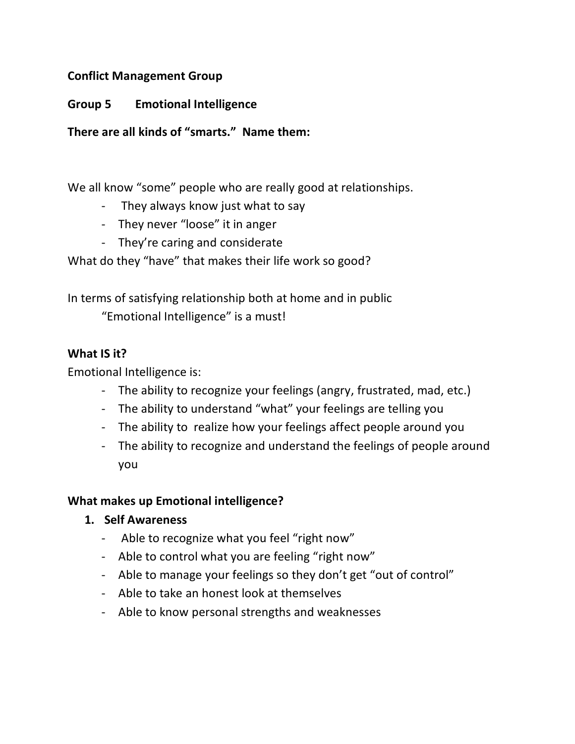## **Conflict Management Group**

### **Group 5 Emotional Intelligence**

**There are all kinds of "smarts." Name them:**

We all know "some" people who are really good at relationships.

- They always know just what to say
- They never "loose" it in anger
- They're caring and considerate

What do they "have" that makes their life work so good?

In terms of satisfying relationship both at home and in public

"Emotional Intelligence" is a must!

#### **What IS it?**

Emotional Intelligence is:

- The ability to recognize your feelings (angry, frustrated, mad, etc.)
- The ability to understand "what" your feelings are telling you
- The ability to realize how your feelings affect people around you
- The ability to recognize and understand the feelings of people around you

#### **What makes up Emotional intelligence?**

- **1. Self Awareness**
	- Able to recognize what you feel "right now"
	- Able to control what you are feeling "right now"
	- Able to manage your feelings so they don't get "out of control"
	- Able to take an honest look at themselves
	- Able to know personal strengths and weaknesses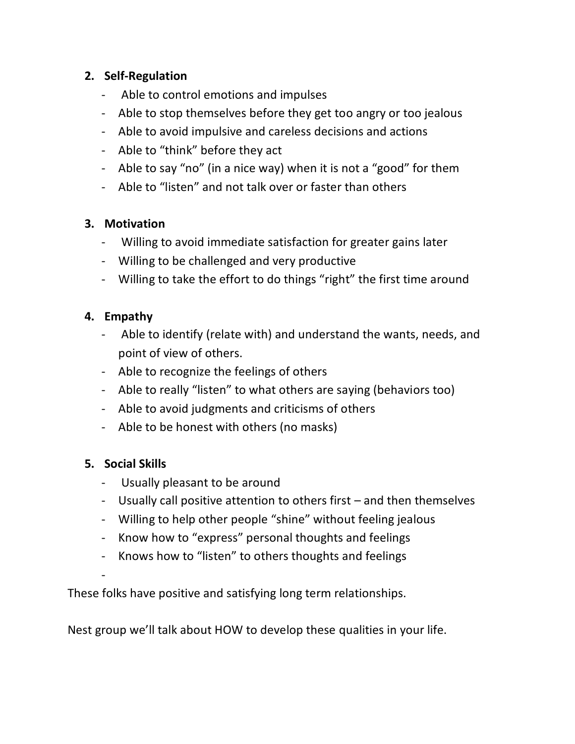# **2. Self-Regulation**

- Able to control emotions and impulses
- Able to stop themselves before they get too angry or too jealous
- Able to avoid impulsive and careless decisions and actions
- Able to "think" before they act
- Able to say "no" (in a nice way) when it is not a "good" for them
- Able to "listen" and not talk over or faster than others

## **3. Motivation**

- Willing to avoid immediate satisfaction for greater gains later
- Willing to be challenged and very productive
- Willing to take the effort to do things "right" the first time around

## **4. Empathy**

- Able to identify (relate with) and understand the wants, needs, and point of view of others.
- Able to recognize the feelings of others
- Able to really "listen" to what others are saying (behaviors too)
- Able to avoid judgments and criticisms of others
- Able to be honest with others (no masks)

# **5. Social Skills**

- Usually pleasant to be around
- Usually call positive attention to others first and then themselves
- Willing to help other people "shine" without feeling jealous
- Know how to "express" personal thoughts and feelings
- Knows how to "listen" to others thoughts and feelings

-

These folks have positive and satisfying long term relationships.

Nest group we'll talk about HOW to develop these qualities in your life.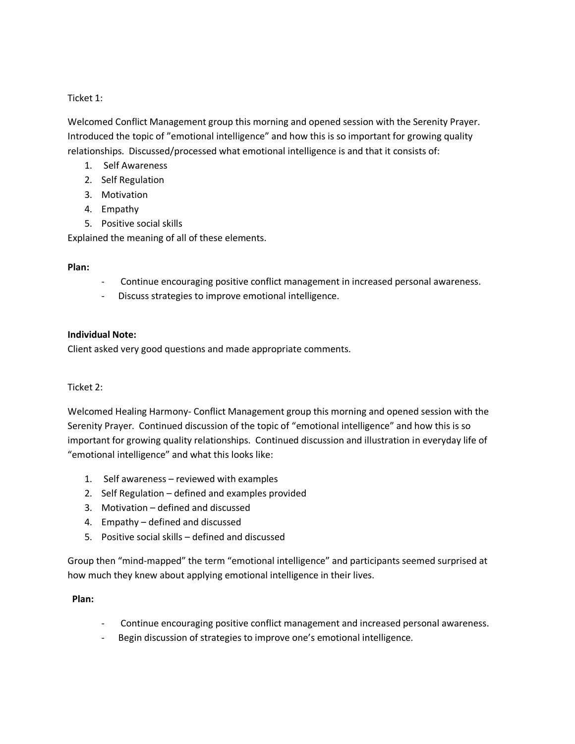Ticket 1:

Welcomed Conflict Management group this morning and opened session with the Serenity Prayer. Introduced the topic of "emotional intelligence" and how this is so important for growing quality relationships. Discussed/processed what emotional intelligence is and that it consists of:

- 1. Self Awareness
- 2. Self Regulation
- 3. Motivation
- 4. Empathy
- 5. Positive social skills

Explained the meaning of all of these elements.

#### **Plan:**

- Continue encouraging positive conflict management in increased personal awareness.
- Discuss strategies to improve emotional intelligence.

#### **Individual Note:**

Client asked very good questions and made appropriate comments.

#### Ticket 2:

Welcomed Healing Harmony- Conflict Management group this morning and opened session with the Serenity Prayer. Continued discussion of the topic of "emotional intelligence" and how this is so important for growing quality relationships. Continued discussion and illustration in everyday life of "emotional intelligence" and what this looks like:

- 1. Self awareness reviewed with examples
- 2. Self Regulation defined and examples provided
- 3. Motivation defined and discussed
- 4. Empathy defined and discussed
- 5. Positive social skills defined and discussed

Group then "mind-mapped" the term "emotional intelligence" and participants seemed surprised at how much they knew about applying emotional intelligence in their lives.

#### **Plan:**

- Continue encouraging positive conflict management and increased personal awareness.
- Begin discussion of strategies to improve one's emotional intelligence.